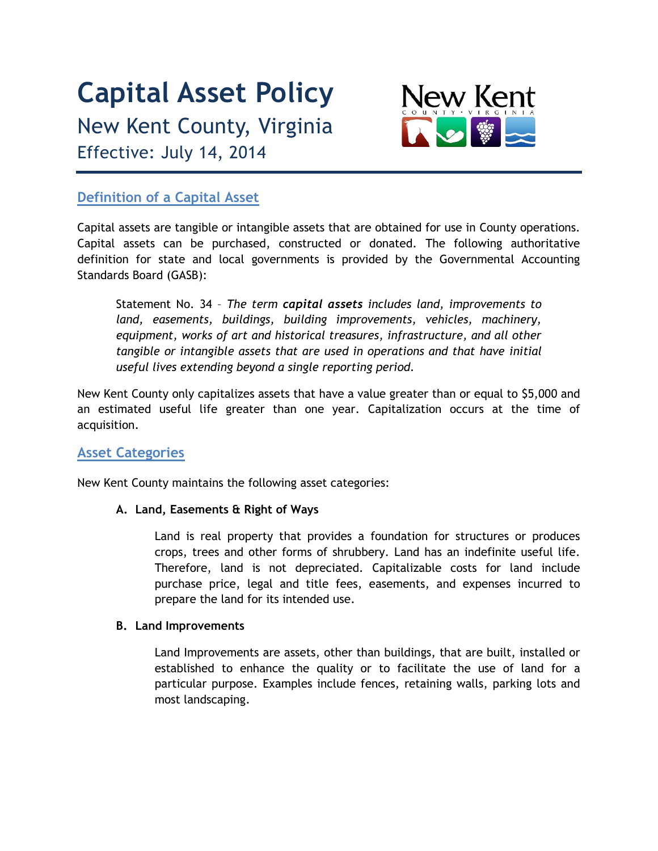# **Capital Asset Policy**

New Kent County, Virginia Effective: July 14, 2014



# **Definition of a Capital Asset**

Capital assets are tangible or intangible assets that are obtained for use in County operations. Capital assets can be purchased, constructed or donated. The following authoritative definition for state and local governments is provided by the Governmental Accounting Standards Board (GASB):

Statement No. 34 – *The term capital assets includes land, improvements to land, easements, buildings, building improvements, vehicles, machinery, equipment, works of art and historical treasures, infrastructure, and all other tangible or intangible assets that are used in operations and that have initial useful lives extending beyond a single reporting period.*

New Kent County only capitalizes assets that have a value greater than or equal to \$5,000 and an estimated useful life greater than one year. Capitalization occurs at the time of acquisition.

## **Asset Categories**

New Kent County maintains the following asset categories:

## **A. Land, Easements & Right of Ways**

Land is real property that provides a foundation for structures or produces crops, trees and other forms of shrubbery. Land has an indefinite useful life. Therefore, land is not depreciated. Capitalizable costs for land include purchase price, legal and title fees, easements, and expenses incurred to prepare the land for its intended use.

#### **B. Land Improvements**

Land Improvements are assets, other than buildings, that are built, installed or established to enhance the quality or to facilitate the use of land for a particular purpose. Examples include fences, retaining walls, parking lots and most landscaping.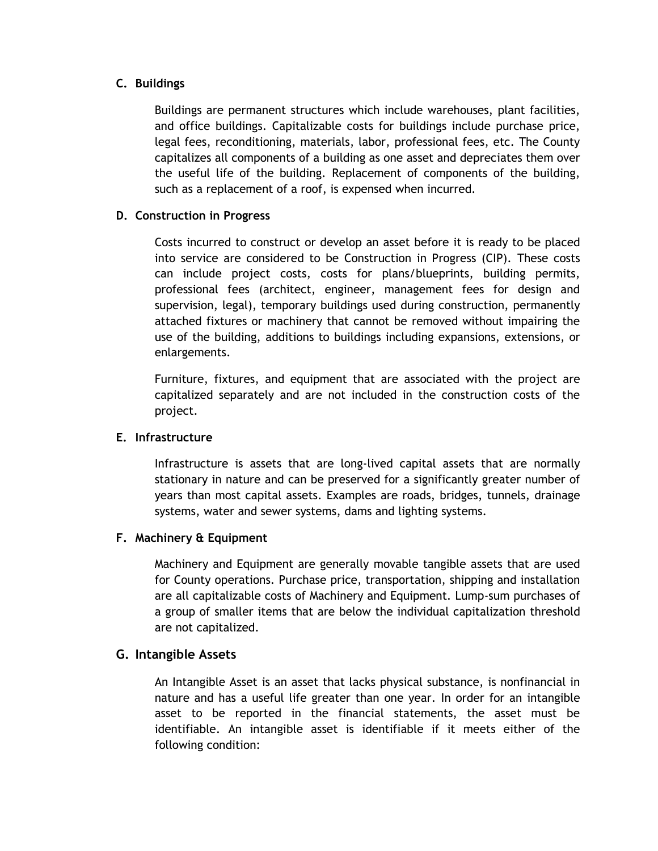#### **C. Buildings**

Buildings are permanent structures which include warehouses, plant facilities, and office buildings. Capitalizable costs for buildings include purchase price, legal fees, reconditioning, materials, labor, professional fees, etc. The County capitalizes all components of a building as one asset and depreciates them over the useful life of the building. Replacement of components of the building, such as a replacement of a roof, is expensed when incurred.

#### **D. Construction in Progress**

Costs incurred to construct or develop an asset before it is ready to be placed into service are considered to be Construction in Progress (CIP). These costs can include project costs, costs for plans/blueprints, building permits, professional fees (architect, engineer, management fees for design and supervision, legal), temporary buildings used during construction, permanently attached fixtures or machinery that cannot be removed without impairing the use of the building, additions to buildings including expansions, extensions, or enlargements.

Furniture, fixtures, and equipment that are associated with the project are capitalized separately and are not included in the construction costs of the project.

#### **E. Infrastructure**

Infrastructure is assets that are long-lived capital assets that are normally stationary in nature and can be preserved for a significantly greater number of years than most capital assets. Examples are roads, bridges, tunnels, drainage systems, water and sewer systems, dams and lighting systems.

#### **F. Machinery & Equipment**

Machinery and Equipment are generally movable tangible assets that are used for County operations. Purchase price, transportation, shipping and installation are all capitalizable costs of Machinery and Equipment. Lump-sum purchases of a group of smaller items that are below the individual capitalization threshold are not capitalized.

## **G. Intangible Assets**

An Intangible Asset is an asset that lacks physical substance, is nonfinancial in nature and has a useful life greater than one year. In order for an intangible asset to be reported in the financial statements, the asset must be identifiable. An intangible asset is identifiable if it meets either of the following condition: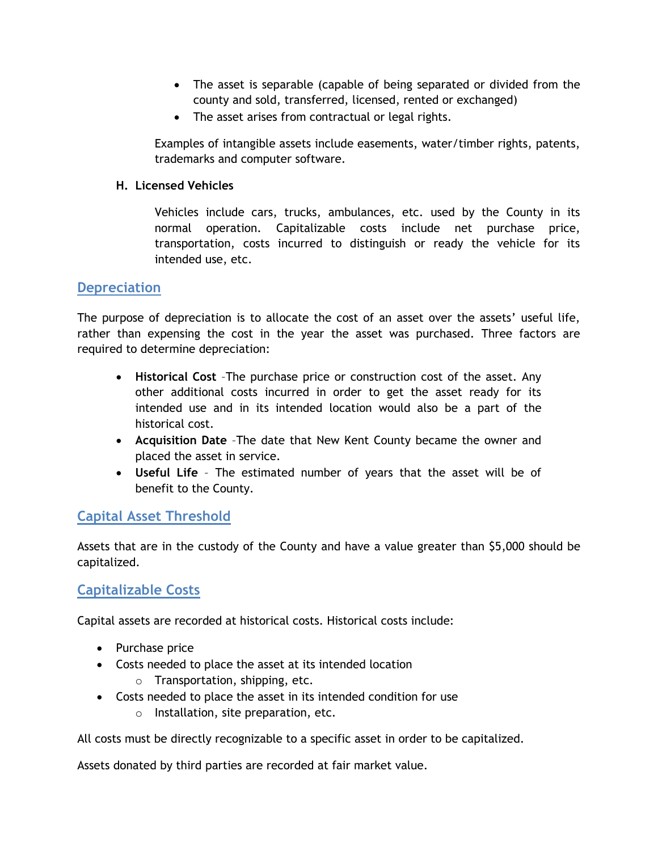- The asset is separable (capable of being separated or divided from the county and sold, transferred, licensed, rented or exchanged)
- The asset arises from contractual or legal rights.

Examples of intangible assets include easements, water/timber rights, patents, trademarks and computer software.

#### **H. Licensed Vehicles**

Vehicles include cars, trucks, ambulances, etc. used by the County in its normal operation. Capitalizable costs include net purchase price, transportation, costs incurred to distinguish or ready the vehicle for its intended use, etc.

## **Depreciation**

The purpose of depreciation is to allocate the cost of an asset over the assets' useful life, rather than expensing the cost in the year the asset was purchased. Three factors are required to determine depreciation:

- **Historical Cost** –The purchase price or construction cost of the asset. Any other additional costs incurred in order to get the asset ready for its intended use and in its intended location would also be a part of the historical cost.
- **Acquisition Date** –The date that New Kent County became the owner and placed the asset in service.
- **Useful Life**  The estimated number of years that the asset will be of benefit to the County.

## **Capital Asset Threshold**

Assets that are in the custody of the County and have a value greater than \$5,000 should be capitalized.

## **Capitalizable Costs**

Capital assets are recorded at historical costs. Historical costs include:

- Purchase price
- Costs needed to place the asset at its intended location
	- o Transportation, shipping, etc.
- Costs needed to place the asset in its intended condition for use
	- o Installation, site preparation, etc.

All costs must be directly recognizable to a specific asset in order to be capitalized.

Assets donated by third parties are recorded at fair market value.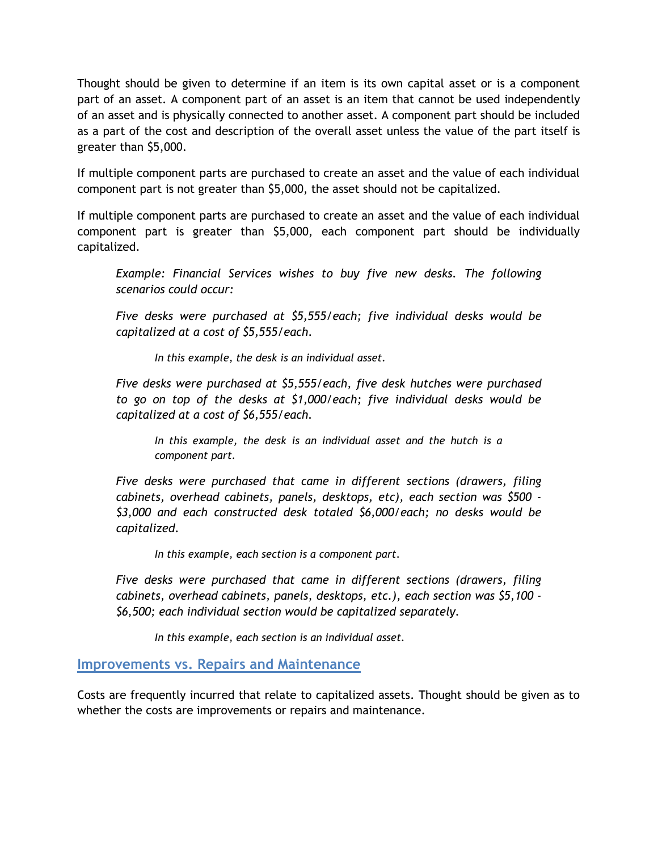Thought should be given to determine if an item is its own capital asset or is a component part of an asset. A component part of an asset is an item that cannot be used independently of an asset and is physically connected to another asset. A component part should be included as a part of the cost and description of the overall asset unless the value of the part itself is greater than \$5,000.

If multiple component parts are purchased to create an asset and the value of each individual component part is not greater than \$5,000, the asset should not be capitalized.

If multiple component parts are purchased to create an asset and the value of each individual component part is greater than \$5,000, each component part should be individually capitalized.

*Example: Financial Services wishes to buy five new desks. The following scenarios could occur:*

*Five desks were purchased at \$5,555/each; five individual desks would be capitalized at a cost of \$5,555/each.* 

*In this example, the desk is an individual asset.*

*Five desks were purchased at \$5,555/each, five desk hutches were purchased to go on top of the desks at \$1,000/each; five individual desks would be capitalized at a cost of \$6,555/each.* 

*In this example, the desk is an individual asset and the hutch is a component part.*

*Five desks were purchased that came in different sections (drawers, filing cabinets, overhead cabinets, panels, desktops, etc), each section was \$500 - \$3,000 and each constructed desk totaled \$6,000/each; no desks would be capitalized.*

*In this example, each section is a component part.*

*Five desks were purchased that came in different sections (drawers, filing cabinets, overhead cabinets, panels, desktops, etc.), each section was \$5,100 - \$6,500; each individual section would be capitalized separately.*

*In this example, each section is an individual asset.*

## **Improvements vs. Repairs and Maintenance**

Costs are frequently incurred that relate to capitalized assets. Thought should be given as to whether the costs are improvements or repairs and maintenance.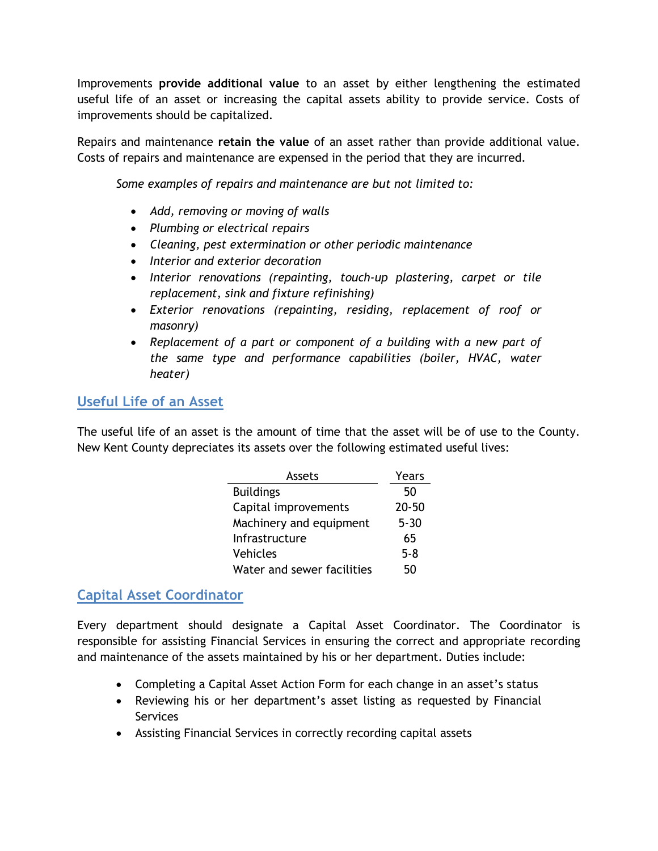Improvements **provide additional value** to an asset by either lengthening the estimated useful life of an asset or increasing the capital assets ability to provide service. Costs of improvements should be capitalized.

Repairs and maintenance **retain the value** of an asset rather than provide additional value. Costs of repairs and maintenance are expensed in the period that they are incurred.

*Some examples of repairs and maintenance are but not limited to:*

- *Add, removing or moving of walls*
- *Plumbing or electrical repairs*
- *Cleaning, pest extermination or other periodic maintenance*
- *Interior and exterior decoration*
- *Interior renovations (repainting, touch-up plastering, carpet or tile replacement, sink and fixture refinishing)*
- *Exterior renovations (repainting, residing, replacement of roof or masonry)*
- *Replacement of a part or component of a building with a new part of the same type and performance capabilities (boiler, HVAC, water heater)*

## **Useful Life of an Asset**

The useful life of an asset is the amount of time that the asset will be of use to the County. New Kent County depreciates its assets over the following estimated useful lives:

| Assets                     | Years     |
|----------------------------|-----------|
| <b>Buildings</b>           | 50        |
| Capital improvements       | $20 - 50$ |
| Machinery and equipment    | $5 - 30$  |
| Infrastructure             | 65        |
| Vehicles                   | $5 - 8$   |
| Water and sewer facilities | 50        |

## **Capital Asset Coordinator**

Every department should designate a Capital Asset Coordinator. The Coordinator is responsible for assisting Financial Services in ensuring the correct and appropriate recording and maintenance of the assets maintained by his or her department. Duties include:

- Completing a Capital Asset Action Form for each change in an asset's status
- Reviewing his or her department's asset listing as requested by Financial Services
- Assisting Financial Services in correctly recording capital assets